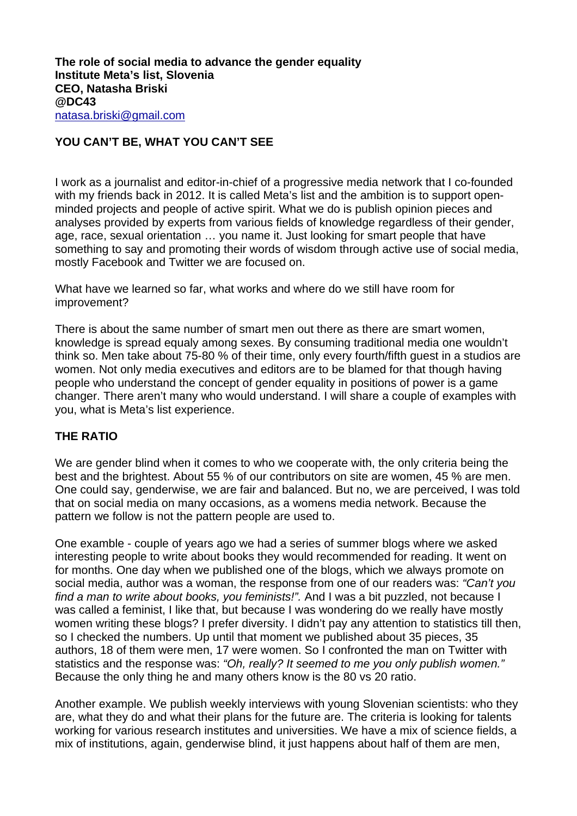## **YOU CAN'T BE, WHAT YOU CAN'T SEE**

I work as a journalist and editor-in-chief of a progressive media network that I co-founded with my friends back in 2012. It is called Meta's list and the ambition is to support openminded projects and people of active spirit. What we do is publish opinion pieces and analyses provided by experts from various fields of knowledge regardless of their gender, age, race, sexual orientation … you name it. Just looking for smart people that have something to say and promoting their words of wisdom through active use of social media, mostly Facebook and Twitter we are focused on.

What have we learned so far, what works and where do we still have room for improvement?

There is about the same number of smart men out there as there are smart women, knowledge is spread equaly among sexes. By consuming traditional media one wouldn't think so. Men take about 75-80 % of their time, only every fourth/fifth guest in a studios are women. Not only media executives and editors are to be blamed for that though having people who understand the concept of gender equality in positions of power is a game changer. There aren't many who would understand. I will share a couple of examples with you, what is Meta's list experience.

## **THE RATIO**

We are gender blind when it comes to who we cooperate with, the only criteria being the best and the brightest. About 55 % of our contributors on site are women, 45 % are men. One could say, genderwise, we are fair and balanced. But no, we are perceived, I was told that on social media on many occasions, as a womens media network. Because the pattern we follow is not the pattern people are used to.

One examble - couple of years ago we had a series of summer blogs where we asked interesting people to write about books they would recommended for reading. It went on for months. One day when we published one of the blogs, which we always promote on social media, author was a woman, the response from one of our readers was: *"Can't you find a man to write about books, you feminists!".* And I was a bit puzzled, not because I was called a feminist, I like that, but because I was wondering do we really have mostly women writing these blogs? I prefer diversity. I didn't pay any attention to statistics till then, so I checked the numbers. Up until that moment we published about 35 pieces, 35 authors, 18 of them were men, 17 were women. So I confronted the man on Twitter with statistics and the response was: *"Oh, really? It seemed to me you only publish women."*  Because the only thing he and many others know is the 80 vs 20 ratio.

Another example. We publish weekly interviews with young Slovenian scientists: who they are, what they do and what their plans for the future are. The criteria is looking for talents working for various research institutes and universities. We have a mix of science fields, a mix of institutions, again, genderwise blind, it just happens about half of them are men,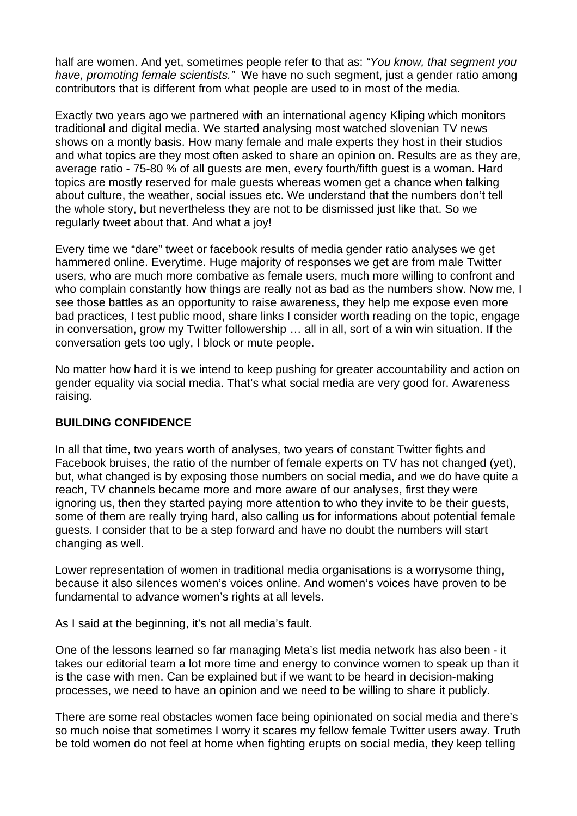half are women. And yet, sometimes people refer to that as: *"You know, that segment you have, promoting female scientists."* We have no such segment, just a gender ratio among contributors that is different from what people are used to in most of the media.

Exactly two years ago we partnered with an international agency Kliping which monitors traditional and digital media. We started analysing most watched slovenian TV news shows on a montly basis. How many female and male experts they host in their studios and what topics are they most often asked to share an opinion on. Results are as they are, average ratio - 75-80 % of all guests are men, every fourth/fifth guest is a woman. Hard topics are mostly reserved for male guests whereas women get a chance when talking about culture, the weather, social issues etc. We understand that the numbers don't tell the whole story, but nevertheless they are not to be dismissed just like that. So we regularly tweet about that. And what a joy!

Every time we "dare" tweet or facebook results of media gender ratio analyses we get hammered online. Everytime. Huge majority of responses we get are from male Twitter users, who are much more combative as female users, much more willing to confront and who complain constantly how things are really not as bad as the numbers show. Now me, I see those battles as an opportunity to raise awareness, they help me expose even more bad practices, I test public mood, share links I consider worth reading on the topic, engage in conversation, grow my Twitter followership … all in all, sort of a win win situation. If the conversation gets too ugly, I block or mute people.

No matter how hard it is we intend to keep pushing for greater accountability and action on gender equality via social media. That's what social media are very good for. Awareness raising.

## **BUILDING CONFIDENCE**

In all that time, two years worth of analyses, two years of constant Twitter fights and Facebook bruises, the ratio of the number of female experts on TV has not changed (yet), but, what changed is by exposing those numbers on social media, and we do have quite a reach, TV channels became more and more aware of our analyses, first they were ignoring us, then they started paying more attention to who they invite to be their guests, some of them are really trying hard, also calling us for informations about potential female guests. I consider that to be a step forward and have no doubt the numbers will start changing as well.

Lower representation of women in traditional media organisations is a worrysome thing, because it also silences women's voices online. And women's voices have proven to be fundamental to advance women's rights at all levels.

As I said at the beginning, it's not all media's fault.

One of the lessons learned so far managing Meta's list media network has also been - it takes our editorial team a lot more time and energy to convince women to speak up than it is the case with men. Can be explained but if we want to be heard in decision-making processes, we need to have an opinion and we need to be willing to share it publicly.

There are some real obstacles women face being opinionated on social media and there's so much noise that sometimes I worry it scares my fellow female Twitter users away. Truth be told women do not feel at home when fighting erupts on social media, they keep telling